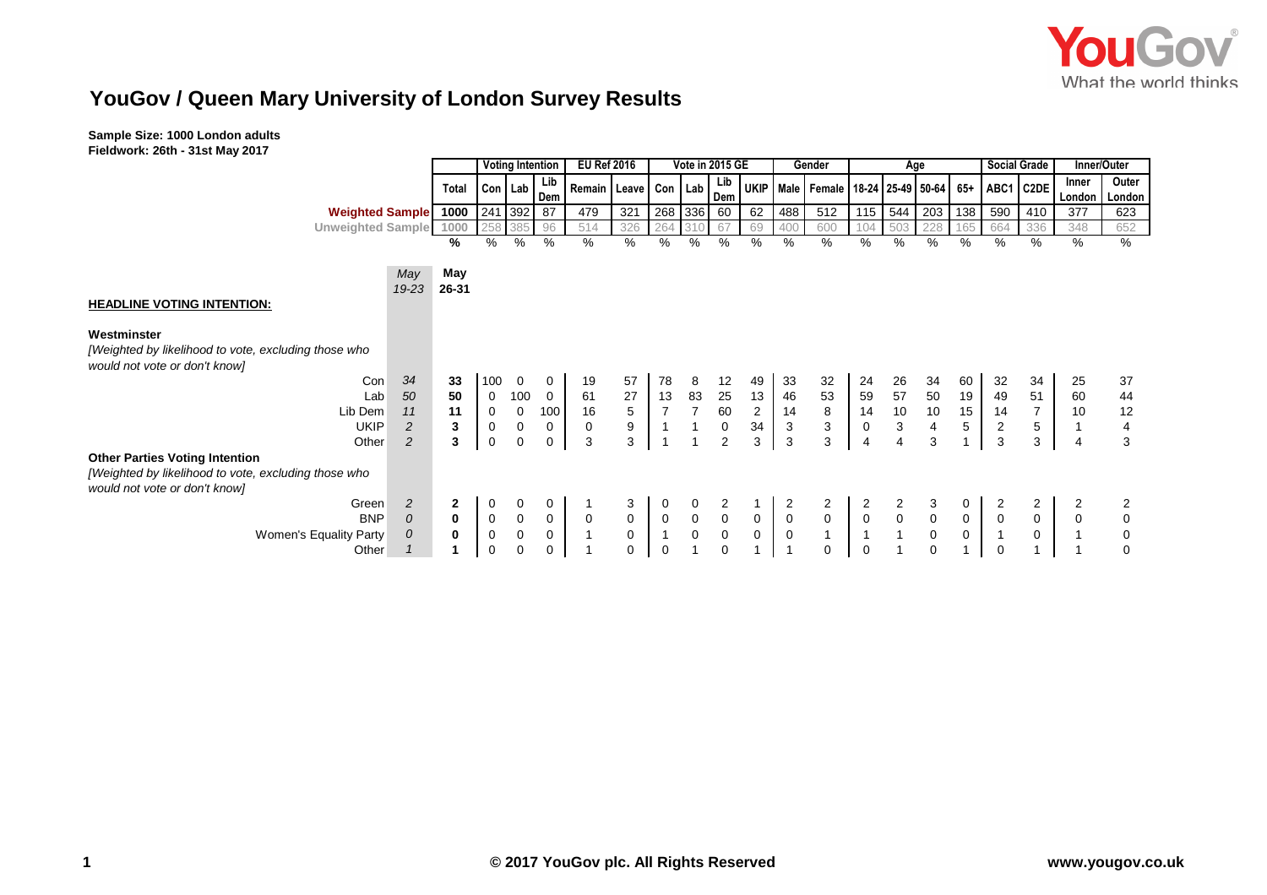# **YouGov / Queen Mary University of London Survey Results**

|                                                      |          |              |             | <b>Voting Intention</b> |                | <b>EU Ref 2016</b>         |                     |                | Vote in 2015 GE     |             |                |                           | Gender                                       | Age                                   |                                            |                                            | <b>Social Grade</b> |                         |                | Inner/Outer     |                         |
|------------------------------------------------------|----------|--------------|-------------|-------------------------|----------------|----------------------------|---------------------|----------------|---------------------|-------------|----------------|---------------------------|----------------------------------------------|---------------------------------------|--------------------------------------------|--------------------------------------------|---------------------|-------------------------|----------------|-----------------|-------------------------|
|                                                      |          | Total        |             | Con Lab                 | Lib<br>Dem     | Remain   Leave   Con   Lab |                     |                |                     | Lib<br>Dem  |                |                           | UKIP   Male   Female   18-24   25-49   50-64 |                                       |                                            |                                            | 65+                 |                         | ABC1 C2DE      | Inner<br>London | Outer<br>London         |
| <b>Weighted Sample</b> 1000                          |          |              | 241         | 392                     | 87             | 479                        | 321                 |                | 268 336             | 60          | 62             | 488                       | 512                                          | 115                                   | 544                                        | 203                                        | 138                 | 590                     | 410            | 377             | 623                     |
| Unweighted Sample 1000                               |          |              | 258         | 385                     | 96             | 514                        | 326                 | 264            |                     | 67          | 69             | 400                       | 600                                          | 104                                   | 503                                        | 228                                        | 165                 | 664                     | 336            | 348             | 652                     |
|                                                      |          | %            | %           | %                       | %              | $\%$                       | %                   | %              | $\frac{0}{0}$       | $\%$        | %              | $\%$                      | %                                            | %                                     | %                                          | $\frac{9}{6}$                              | $\%$                | %                       | %              | $\%$            | %                       |
|                                                      |          |              |             |                         |                |                            |                     |                |                     |             |                |                           |                                              |                                       |                                            |                                            |                     |                         |                |                 |                         |
|                                                      | May      | May          |             |                         |                |                            |                     |                |                     |             |                |                           |                                              |                                       |                                            |                                            |                     |                         |                |                 |                         |
|                                                      | 19-23    | 26-31        |             |                         |                |                            |                     |                |                     |             |                |                           |                                              |                                       |                                            |                                            |                     |                         |                |                 |                         |
| <b>HEADLINE VOTING INTENTION:</b>                    |          |              |             |                         |                |                            |                     |                |                     |             |                |                           |                                              |                                       |                                            |                                            |                     |                         |                |                 |                         |
|                                                      |          |              |             |                         |                |                            |                     |                |                     |             |                |                           |                                              |                                       |                                            |                                            |                     |                         |                |                 |                         |
| Westminster                                          |          |              |             |                         |                |                            |                     |                |                     |             |                |                           |                                              |                                       |                                            |                                            |                     |                         |                |                 |                         |
| [Weighted by likelihood to vote, excluding those who |          |              |             |                         |                |                            |                     |                |                     |             |                |                           |                                              |                                       |                                            |                                            |                     |                         |                |                 |                         |
| would not vote or don't know]                        |          |              |             |                         |                |                            |                     |                |                     |             |                |                           |                                              |                                       |                                            |                                            |                     |                         |                |                 |                         |
| Con                                                  | 34       | 33           | 100         | $\mathbf 0$             | $\mathbf{0}$   | 19                         | 57                  | 78             | 8                   | 12          | 49             | 33                        | 32                                           | 24                                    | 26                                         | 34                                         | 60                  | 32                      | 34             | 25              | 37                      |
| Lab                                                  | 50       | 50           | $\mathbf 0$ | 100                     | $\overline{0}$ | 61                         | 27                  | 13             | 83                  | 25          | 13             | 46                        | 53                                           | 59                                    | 57                                         | 50                                         | 19                  | 49                      | 51             | 60              | 44                      |
| Lib Dem                                              | 11       | 11           | 0           | 0                       | 100            | 16                         | $\sqrt{5}$          | $\overline{7}$ | $\overline{7}$      | 60          | $\overline{c}$ | 14                        | 8                                            | 14                                    | 10                                         | 10                                         | 15                  | 14                      | $\overline{7}$ | 10              | 12                      |
| <b>UKIP</b>                                          | 2        | 3            | $\mathbf 0$ | 0                       | 0              | 0                          | $\boldsymbol{9}$    |                |                     | $\mathsf 0$ | 34             | $\ensuremath{\mathsf{3}}$ | $\mathsf 3$                                  | 0                                     | $\sqrt{3}$                                 | 4                                          | $5\,$               | $\overline{\mathbf{c}}$ | 5              |                 | $\overline{\mathbf{4}}$ |
| Other                                                | 2        | 3            | 0           | $\mathbf 0$             | 0              | 3                          | 3                   |                | 1                   | 2           | 3              | 3                         | 3                                            | 4                                     | 4                                          | 3                                          |                     | 3                       | 3              | $\overline{4}$  | 3                       |
| <b>Other Parties Voting Intention</b>                |          |              |             |                         |                |                            |                     |                |                     |             |                |                           |                                              |                                       |                                            |                                            |                     |                         |                |                 |                         |
| [Weighted by likelihood to vote, excluding those who |          |              |             |                         |                |                            |                     |                |                     |             |                |                           |                                              |                                       |                                            |                                            |                     |                         |                |                 |                         |
| would not vote or don't know]                        |          |              |             |                         |                |                            |                     |                |                     |             |                |                           |                                              |                                       |                                            |                                            |                     |                         |                |                 |                         |
| Green                                                | 2        | $\mathbf{2}$ | 0           | 0                       | 0              |                            | 3                   | 0              | 0                   | 2           |                | 2                         | $\overline{2}$                               | 2                                     |                                            |                                            | 0                   |                         | 2              |                 |                         |
| <b>BNP</b>                                           | 0        | 0            | $\mathbf 0$ | $\mathbf 0$             | 0              | 0                          | $\mathbf 0$         | $\mathbf 0$    | $\mathbf 0$         | $\mathbf 0$ | $\mathbf 0$    | $\pmb{0}$                 | $\mathsf{O}\xspace$                          | $\begin{array}{c} 0 \\ 1 \end{array}$ | $\begin{array}{c} 2 \\ 0 \\ 1 \end{array}$ | $\begin{smallmatrix}0\\0\end{smallmatrix}$ | $\mathbf 0$         | $\mathsf 0$             | $\mathbf 0$    | $\mathbf 0$     | 0                       |
| <b>Women's Equality Party</b>                        | $\Omega$ | 0            | $\mathbf 0$ | $\mathbf 0$             | 0              |                            | $\mathsf{O}\xspace$ |                | $\mathsf{O}\xspace$ | $\mathbf 0$ | $\mathbf 0$    | $\mathbf 0$               | $\mathbf{1}$                                 |                                       |                                            |                                            | $\mathbf 0$         | $\overline{1}$          | $\mathbf 0$    |                 | $\mathbf 0$             |
| Other                                                |          | 1            | 0           | $\mathbf 0$             | 0              |                            | 0                   | $\Omega$       |                     | 0           |                | $\mathbf{1}$              | $\mathbf 0$                                  | $\Omega$                              |                                            | $\mathbf 0$                                |                     | 0                       |                |                 | 0                       |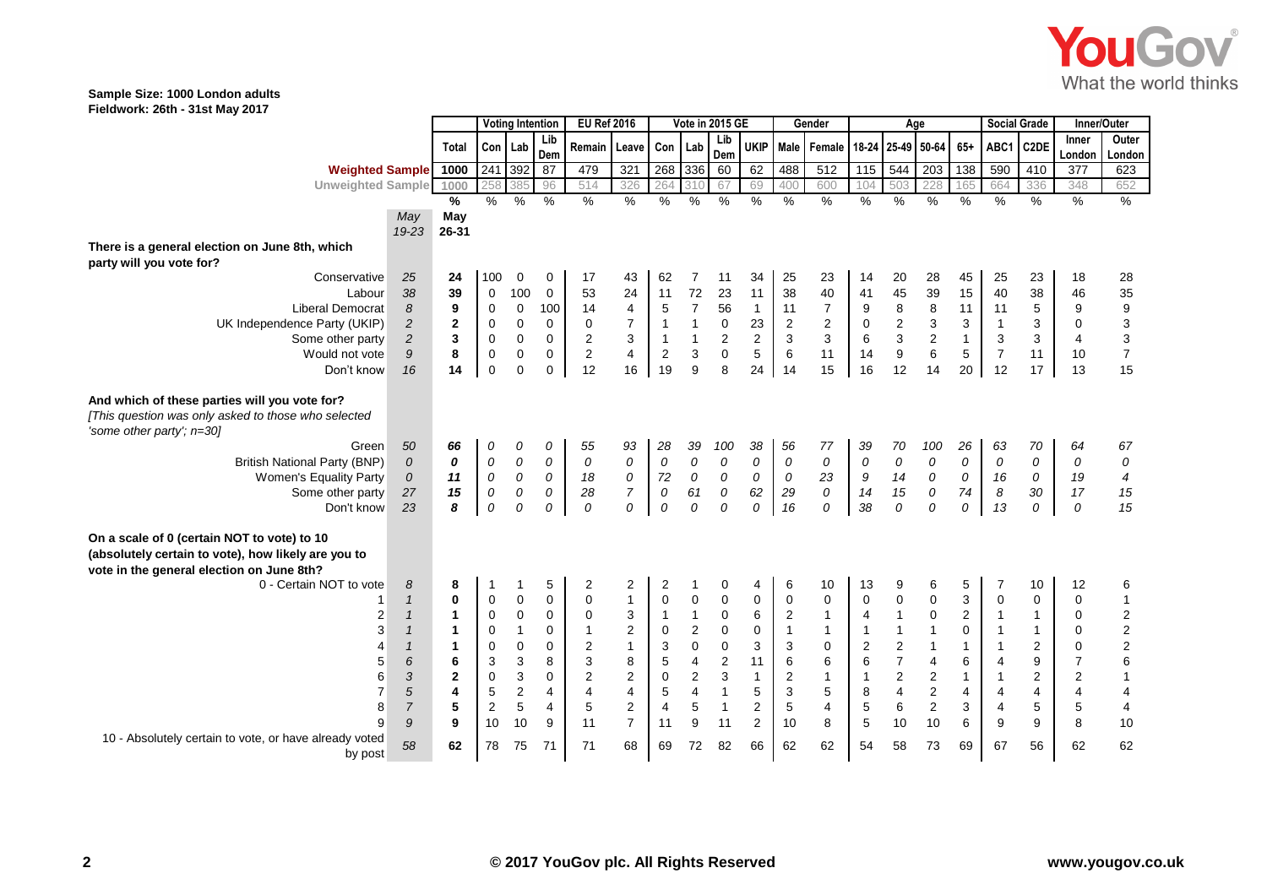

|                                                                                                                                   |                |                      |                | <b>Voting Intention</b><br><b>EU Ref 2016</b><br>Vote in 2015 GE<br>Gender |                |                         |                         |                           |                         |                | Age            |                |                | <b>Social Grade</b> |                         | Inner/Outer      |                |                |                   |                |                         |
|-----------------------------------------------------------------------------------------------------------------------------------|----------------|----------------------|----------------|----------------------------------------------------------------------------|----------------|-------------------------|-------------------------|---------------------------|-------------------------|----------------|----------------|----------------|----------------|---------------------|-------------------------|------------------|----------------|----------------|-------------------|----------------|-------------------------|
|                                                                                                                                   |                | <b>Total</b>         |                | Con Lab                                                                    | Lib            | Remain                  | Leave                   | Con Lab                   |                         | Lib            | <b>UKIP</b>    |                | Male Female    | 18-24               |                         | 25-49 50-64      | $65+$          | ABC1           | C <sub>2</sub> DE | Inner          | Outer                   |
|                                                                                                                                   |                |                      |                |                                                                            | Dem            |                         |                         |                           |                         | Dem            |                |                |                |                     |                         |                  |                |                |                   | London         | Londor                  |
| <b>Weighted Sample</b>                                                                                                            |                | 1000                 | 241            | 392                                                                        | 87             | 479                     | 321                     | 268                       | 336                     | 60             | 62             | 488            | 512            | 115                 | 544                     | 203              | 138            | 590            | 410               | 377            | 623                     |
| Unweighted Sample 1000                                                                                                            |                |                      | 258            | 385                                                                        | 96             | 514                     | 326                     | 264                       | 310                     | 67             | 69             | 400            | 600            | 104                 | 503                     | 228              | 165            | 664            | 336               | 348            | 652                     |
|                                                                                                                                   |                | %                    | $\frac{0}{6}$  | %                                                                          | %              | $\frac{9}{6}$           | %                       | $\frac{9}{6}$             | $\frac{9}{6}$           | $\%$           | $\%$           | $\%$           | %              | %                   | $\%$                    | %                | $\%$           | $\frac{9}{6}$  | $\%$              | %              | $\%$                    |
|                                                                                                                                   | May            | May                  |                |                                                                            |                |                         |                         |                           |                         |                |                |                |                |                     |                         |                  |                |                |                   |                |                         |
|                                                                                                                                   | 19-23          | 26-31                |                |                                                                            |                |                         |                         |                           |                         |                |                |                |                |                     |                         |                  |                |                |                   |                |                         |
| There is a general election on June 8th, which<br>party will you vote for?                                                        |                |                      |                |                                                                            |                |                         |                         |                           |                         |                |                |                |                |                     |                         |                  |                |                |                   |                |                         |
| Conservative                                                                                                                      | 25             | 24                   | 100            | $\mathbf 0$                                                                | 0              | 17                      | 43                      | 62                        | 7                       | 11             | 34             | 25             | 23             | 14                  | 20                      | 28               | 45             | 25             | 23                | 18             | 28                      |
| Labour                                                                                                                            | 38             | 39                   | $\mathbf 0$    | 100                                                                        | $\mathbf 0$    | 53                      | 24                      | 11                        | $72\,$                  | 23             | 11             | 38             | 40             | 41                  | 45                      | 39               | 15             | 40             | 38                | 46             | 35 9 3 3 7 7            |
| <b>Liberal Democrat</b>                                                                                                           | 8              | 9                    | 0              | $\mathbf 0$                                                                | 100            | 14                      | 4                       | $\mathbf 5$               | $\overline{7}$          | 56             | $\mathbf{1}$   | 11             | $\overline{7}$ | 9                   | 8                       | 8                | 11             | 11             | 5                 | 9              |                         |
| UK Independence Party (UKIP)                                                                                                      | $\overline{2}$ | $\overline{2}$       | $\mathbf 0$    | $\overline{0}$                                                             | $\mathbf 0$    | $\mathbf 0$             | $\overline{7}$          | $\mathbf{1}$              | $\mathbf{1}$            | $\pmb{0}$      | 23             | $\overline{c}$ | $\overline{2}$ | $\mathbf 0$         | $\sqrt{2}$              | 3                | 3              | $\overline{1}$ | 3                 | $\mathbf 0$    |                         |
| Some other party                                                                                                                  | $\overline{2}$ | 3                    | 0              | $\mathbf 0$                                                                | $\mathbf 0$    | $\boldsymbol{2}$        | 3                       | $\mathbf{1}$              | $\mathbf{1}$            | $\overline{2}$ | $\overline{2}$ | 3              | 3              | $\,6\,$             | $\mathbf{3}$            | $\sqrt{2}$       | $\mathbf{1}$   | 3              | 3                 | $\overline{4}$ |                         |
| Would not vote                                                                                                                    | 9              | 8                    | $\mathbf 0$    | $\mathbf 0$                                                                | $\mathbf 0$    | $\mathbf 2$             | 4                       | $\boldsymbol{2}$          | 3                       | $\mathbf 0$    | 5              | 6              | 11             | 14                  | $\boldsymbol{9}$        | $\,6$            | 5              | $\overline{7}$ | 11                | 10             |                         |
| Don't know                                                                                                                        | 16             | 14                   | $\mathbf 0$    | $\overline{0}$                                                             | 0              | 12                      | 16                      | 19                        | 9                       | 8              | 24             | 14             | 15             | 16                  | 12                      | 14               | 20             | 12             | 17                | 13             | 15                      |
| And which of these parties will you vote for?<br>[This question was only asked to those who selected<br>'some other party'; n=30] |                |                      |                |                                                                            |                |                         |                         |                           |                         |                |                |                |                |                     |                         |                  |                |                |                   |                |                         |
| Green                                                                                                                             | 50             | 66                   | 0              | 0                                                                          | 0              | 55                      | 93                      | 28                        | 39                      | 100            | 38             | 56             | 77             | 39                  | 70                      | 100              | 26             | 63             | 70                | 64             | 67                      |
| <b>British National Party (BNP)</b>                                                                                               | $\overline{O}$ | 0                    | 0              | 0                                                                          | 0              | 0                       | 0                       | 0                         | $\cal O$                | 0              | 0              | 0              | 0              | 0                   | 0                       | 0                | 0              | 0              | 0                 | 0              | ${\cal O}$              |
| <b>Women's Equality Party</b>                                                                                                     | 0              | 11                   | 0              | 0                                                                          | 0              | 18                      | ${\cal O}$              | 72                        | ${\cal O}$              | 0              | 0              | 0              | 23             | 9                   | 14                      | 0                | 0              | 16             | 0                 | 19             | $\boldsymbol{4}$        |
| Some other party                                                                                                                  | 27             | 15                   | 0              | ${\cal O}$                                                                 | 0              | 28                      | $\overline{7}$          | 0                         | 61                      | ${\cal O}$     | 62             | 29             | 0              | 14                  | 15                      | ${\cal O}$       | 74             | 8              | 30                | 17             | 15                      |
| Don't know                                                                                                                        | 23             | 8                    | 0              | 0                                                                          | 0              | 0                       | 0                       | 0                         | 0                       | 0              | 0              | 16             | 0              | 38                  | 0                       | 0                | 0              | 13             | 0                 | 0              | 15                      |
| On a scale of 0 (certain NOT to vote) to 10                                                                                       |                |                      |                |                                                                            |                |                         |                         |                           |                         |                |                |                |                |                     |                         |                  |                |                |                   |                |                         |
| (absolutely certain to vote), how likely are you to                                                                               |                |                      |                |                                                                            |                |                         |                         |                           |                         |                |                |                |                |                     |                         |                  |                |                |                   |                |                         |
| vote in the general election on June 8th?                                                                                         |                |                      |                |                                                                            |                |                         |                         |                           |                         |                |                |                |                |                     |                         |                  |                |                |                   |                |                         |
| 0 - Certain NOT to vote                                                                                                           | 8              | 8                    |                |                                                                            | 5              | 2                       | 2                       | 2                         |                         | 0              | 4              | 6              | 10             | 13                  | 9                       | 6                | 5              |                | 10                | 12             | 6                       |
|                                                                                                                                   | $\mathbf{1}$   | $\mathbf{0}$         | $\mathbf 0$    | $\overline{0}$                                                             | 0              | $\mathbf 0$             | $\mathbf{1}$            | $\pmb{0}$                 | $\mathbf 0$             | $\pmb{0}$      | $\mathbf 0$    | 0              | 0              | $\mathbf 0$         | $\overline{0}$          | 0                | 3              | $\mathbf 0$    | $\mathbf 0$       | 0              | $\mathbf{1}$            |
| 2                                                                                                                                 | $\mathbf{1}$   | $\mathbf{1}$         | $\mathbf 0$    | $\pmb{0}$                                                                  | $\mathbf 0$    | $\pmb{0}$               | 3                       | $\mathbf{1}$              | $\mathbf{1}$            | $\mathbf 0$    | 6              | 2              | $\mathbf{1}$   | $\overline{4}$      | $\mathbf{1}$            | $\mathbf 0$      | $\overline{2}$ | $\overline{1}$ | $\mathbf{1}$      | 0              | 2<br>2<br>2<br>6<br>1   |
| 3                                                                                                                                 | $\mathbf{1}$   | $\blacktriangleleft$ | $\mathbf 0$    | $\overline{1}$                                                             | 0              | $\mathbf{1}$            | $\overline{c}$          | $\mathbf 0$               | $\sqrt{2}$              | $\pmb{0}$      | $\mathbf 0$    | $\mathbf{1}$   | $\mathbf{1}$   | $\mathbf{1}$        | $\mathbf{1}$            | $\mathbf{1}$     | $\Omega$       | $\overline{1}$ | $\mathbf{1}$      | 0              |                         |
|                                                                                                                                   | $\mathbf{1}$   | $\mathbf{1}$         | 0              | $\pmb{0}$                                                                  | 0              | $\boldsymbol{2}$        | $\mathbf{1}$            | $\ensuremath{\mathsf{3}}$ | $\pmb{0}$               | $\mathbf 0$    | 3              | 3              | 0              | $\sqrt{2}$          | $\mathbf 2$             | $\mathbf{1}$     | $\mathbf{1}$   | $\overline{1}$ | 2                 | 0              |                         |
| 5                                                                                                                                 | 6              | 6                    | 3              | $\mathsf 3$                                                                | 8              | $\mathsf 3$             | 8                       | 5                         | $\overline{4}$          | $\sqrt{2}$     | 11             | 6              | 6              | $\,6$               | $\overline{7}$          | $\overline{4}$   | 6              | $\overline{4}$ | 9                 | $\overline{7}$ |                         |
| 6                                                                                                                                 | 3              | $\mathbf{2}$         | $\mathbf 0$    | $\mathbf{3}$                                                               | 0              | $\boldsymbol{2}$        | $\mathbf 2$             | $\pmb{0}$                 | $\mathbf 2$             | $\mathsf 3$    | $\mathbf{1}$   | 2              | $\mathbf{1}$   | $\mathbf{1}$        | $\sqrt{2}$              | $\boldsymbol{2}$ | $\mathbf{1}$   | $\overline{1}$ | 2                 | $\overline{c}$ |                         |
|                                                                                                                                   | 5              | 4                    | 5              | $\mathbf 2$                                                                | $\overline{4}$ | $\overline{\mathbf{4}}$ | $\overline{\mathbf{4}}$ | $\mathbf 5$               | $\overline{\mathbf{4}}$ | $\mathbf{1}$   | 5              | 3              | 5              | 8                   | $\overline{\mathbf{4}}$ | $\overline{c}$   | $\overline{4}$ | 4              | 4                 | 4              | $\overline{\mathbf{4}}$ |
| 8                                                                                                                                 | $\overline{7}$ | 5                    | $\overline{2}$ | $\sqrt{5}$                                                                 | 4              | 5                       | $\overline{c}$          | $\overline{4}$            | 5                       | $\mathbf{1}$   | $\overline{2}$ | 5              | $\overline{4}$ | 5                   | $6\phantom{1}6$         | $\overline{c}$   | 3              | 4              | 5                 | $\mathbf 5$    | $\overline{\mathbf{4}}$ |
| 9                                                                                                                                 | 9              | 9                    | 10             | 10                                                                         | 9              | 11                      | $\overline{7}$          | 11                        | 9                       | 11             | 2              | 10             | 8              | 5                   | 10                      | 10               | 6              | 9              | 9                 | 8              | 10                      |
| 10 - Absolutely certain to vote, or have already voted<br>by post                                                                 | 58             | 62                   | 78             | 75                                                                         | 71             | 71                      | 68                      | 69                        | 72                      | 82             | 66             | 62             | 62             | 54                  | 58                      | 73               | 69             | 67             | 56                | 62             | 62                      |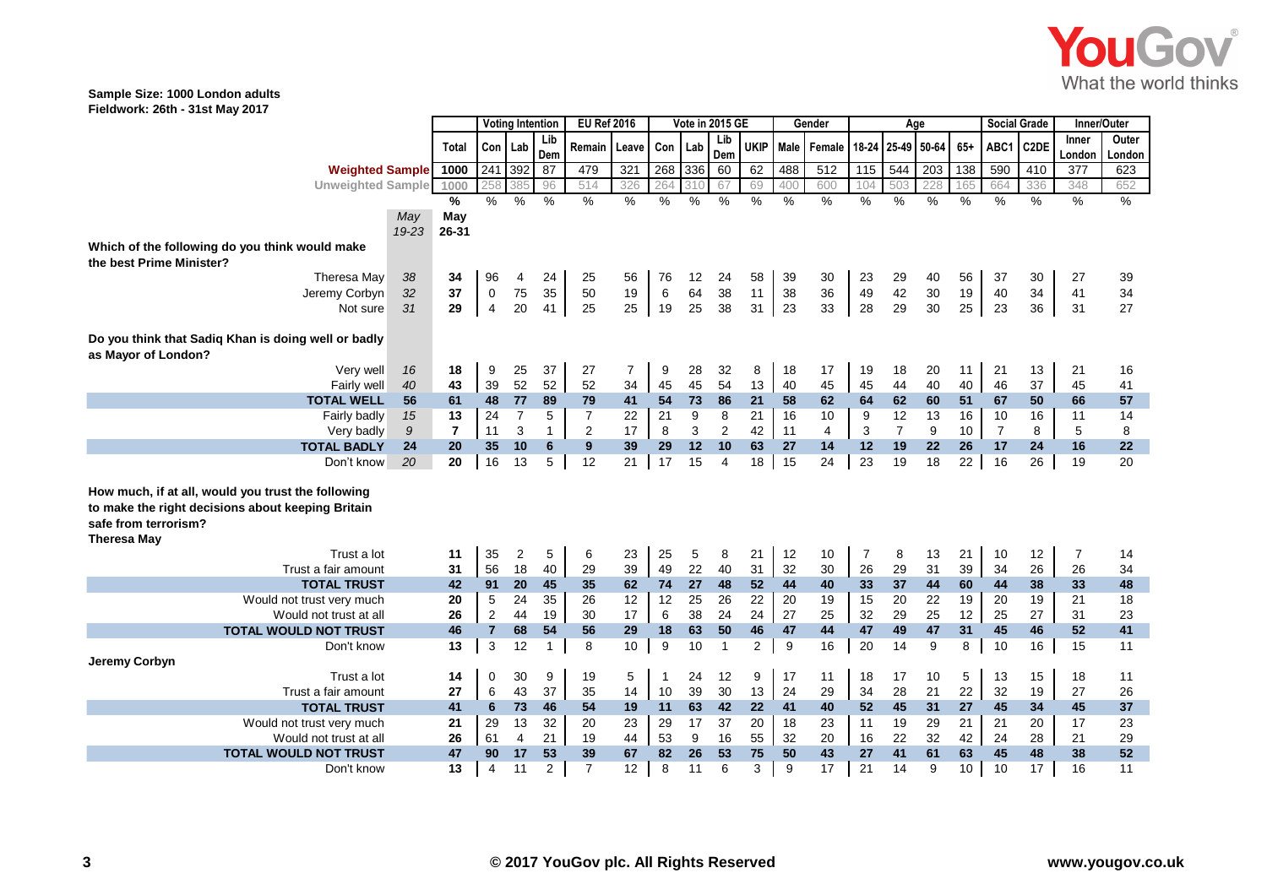

|                                                     |           |                | <b>Voting Intention</b><br><b>EU Ref 2016</b> |                |              | Vote in 2015 GE |                |      |       |                | Gender         | Age  |                |     |                | <b>Social Grade</b> |       | Inner/Outer    |                   |        |        |
|-----------------------------------------------------|-----------|----------------|-----------------------------------------------|----------------|--------------|-----------------|----------------|------|-------|----------------|----------------|------|----------------|-----|----------------|---------------------|-------|----------------|-------------------|--------|--------|
|                                                     |           |                | Con Lab                                       |                | Lib          | Remain          |                | Con  |       | Lib            | <b>UKIP</b>    | Male |                |     | 18-24 25-49    | 50-64               | $65+$ | ABC1           | C <sub>2</sub> DE | Inner  | Outer  |
|                                                     |           | Total          |                                               |                | Dem          |                 | Leave          |      | Lab   | Dem            |                |      | Female         |     |                |                     |       |                |                   | London | London |
| <b>Weighted Sample</b>                              |           | 1000           | 241 392                                       |                | 87           | 479             | 321            | 268  | $336$ | 60             | 62             | 488  | 512            | 115 | 544            | 203                 | 138   | 590            | 410               | 377    | 623    |
| <b>Unweighted Sample</b>                            |           | 1000           | 258                                           | 385            | 96           | 514             | 326            | 264  | 310   | 67             | 69             | 400  | 600            | 104 | 503            | 228                 | 165   | 664            | 336               | 348    | 652    |
|                                                     |           | %              | $\%$                                          | $\%$           | $\%$         | %               | %              | $\%$ | $\%$  | $\%$           | $\%$           | $\%$ | $\%$           | %   | %              | $\%$                | $\%$  | $\%$           | $\%$              | $\%$   | $\%$   |
|                                                     | May       | May            |                                               |                |              |                 |                |      |       |                |                |      |                |     |                |                     |       |                |                   |        |        |
|                                                     | $19 - 23$ | 26-31          |                                               |                |              |                 |                |      |       |                |                |      |                |     |                |                     |       |                |                   |        |        |
| Which of the following do you think would make      |           |                |                                               |                |              |                 |                |      |       |                |                |      |                |     |                |                     |       |                |                   |        |        |
| the best Prime Minister?                            |           |                |                                               |                |              |                 |                |      |       |                |                |      |                |     |                |                     |       |                |                   |        |        |
| Theresa May                                         | 38        | 34             | 96                                            | 4              | 24           | 25              | 56             | 76   | 12    | 24             | 58             | 39   | 30             | 23  | 29             | 40                  | 56    | 37             | 30                | 27     | 39     |
| Jeremy Corbyn                                       | 32        | 37             | $\mathbf 0$                                   | 75             | 35           | 50              | 19             | 6    | 64    | 38             | 11             | 38   | 36             | 49  | 42             | 30                  | 19    | 40             | 34                | 41     | 34     |
| Not sure                                            | 31        | 29             | $\overline{4}$                                | 20             | 41           | 25              | 25             | 19   | 25    | 38             | 31             | 23   | 33             | 28  | 29             | 30                  | 25    | 23             | 36                | 31     | 27     |
|                                                     |           |                |                                               |                |              |                 |                |      |       |                |                |      |                |     |                |                     |       |                |                   |        |        |
| Do you think that Sadiq Khan is doing well or badly |           |                |                                               |                |              |                 |                |      |       |                |                |      |                |     |                |                     |       |                |                   |        |        |
| as Mayor of London?                                 |           |                |                                               |                |              |                 |                |      |       |                |                |      |                |     |                |                     |       |                |                   |        |        |
| Very well                                           | 16        | 18             | 9                                             | 25             | 37           | 27              | $\overline{7}$ | 9    | 28    | 32             | 8              | 18   | 17             | 19  | 18             | 20                  | 11    | 21             | 13                | 21     | 16     |
| <b>Fairly well</b>                                  | 40        | 43             | 39                                            | 52             | 52           | 52              | 34             | 45   | 45    | 54             | 13             | 40   | 45             | 45  | 44             | 40                  | 40    | 46             | 37                | 45     | 41     |
| <b>TOTAL WELL</b>                                   | 56        | 61             | 48                                            | 77             | 89           | 79              | 41             | 54   | 73    | 86             | 21             | 58   | 62             | 64  | 62             | 60                  | 51    | 67             | 50                | 66     | 57     |
| Fairly badly                                        | 15        | 13             | 24                                            | $\overline{7}$ | 5            | $\overline{7}$  | 22             | 21   | 9     | 8              | 21             | 16   | 10             | 9   | 12             | 13                  | 16    | 10             | 16                | 11     | 14     |
| Very badly                                          | 9         | $\overline{7}$ | 11                                            | 3              | $\mathbf{1}$ | 2               | 17             | 8    | 3     | $\overline{2}$ | 42             | 11   | $\overline{4}$ | 3   | $\overline{7}$ | 9                   | 10    | $\overline{7}$ | 8                 | 5      | 8      |
| <b>TOTAL BADLY</b>                                  | 24        | 20             | 35                                            | 10             | 6            | 9               | 39             | 29   | 12    | 10             | 63             | 27   | 14             | 12  | 19             | 22                  | 26    | 17             | 24                | 16     | 22     |
| Don't know                                          | 20        | 20             | 16                                            | 13             | 5            | 12              | 21             | 17   | 15    | 4              | 18             | 15   | 24             | 23  | 19             | 18                  | 22    | 16             | 26                | 19     | 20     |
|                                                     |           |                |                                               |                |              |                 |                |      |       |                |                |      |                |     |                |                     |       |                |                   |        |        |
| How much, if at all, would you trust the following  |           |                |                                               |                |              |                 |                |      |       |                |                |      |                |     |                |                     |       |                |                   |        |        |
| to make the right decisions about keeping Britain   |           |                |                                               |                |              |                 |                |      |       |                |                |      |                |     |                |                     |       |                |                   |        |        |
| safe from terrorism?                                |           |                |                                               |                |              |                 |                |      |       |                |                |      |                |     |                |                     |       |                |                   |        |        |
| Theresa May                                         |           |                |                                               |                |              |                 |                |      |       |                |                |      |                |     |                |                     |       |                |                   |        |        |
| Trust a lot                                         |           | 11             | 35                                            | $\overline{c}$ | 5            | 6               | 23             | 25   | 5     | 8              | 21             | 12   | 10             | 7   | 8              | 13                  | 21    | 10             | 12                | 7      | 14     |
| Trust a fair amount                                 |           | 31             | 56                                            | 18             | 40           | 29              | 39             | 49   | 22    | 40             | 31             | 32   | 30             | 26  | 29             | 31                  | 39    | 34             | 26                | 26     | 34     |
| <b>TOTAL TRUST</b>                                  |           | 42             | 91                                            | 20             | 45           | 35              | 62             | 74   | 27    | 48             | 52             | 44   | 40             | 33  | 37             | 44                  | 60    | 44             | 38                | 33     | 48     |
| Would not trust very much                           |           | 20             | 5                                             | 24             | 35           | 26              | 12             | 12   | 25    | 26             | 22             | 20   | 19             | 15  | 20             | 22                  | 19    | 20             | 19                | 21     | 18     |
| Would not trust at all                              |           | 26             | $\overline{2}$                                | 44             | 19           | 30              | 17             | 6    | 38    | 24             | 24             | 27   | 25             | 32  | 29             | 25                  | 12    | 25             | 27                | 31     | 23     |
| <b>TOTAL WOULD NOT TRUST</b>                        |           | 46             | $\overline{7}$                                | 68             | 54           | 56              | 29             | 18   | 63    | 50             | 46             | 47   | 44             | 47  | 49             | 47                  | 31    | 45             | 46                | 52     | 41     |
| Don't know                                          |           | 13             | $\mathbf{3}$                                  | 12             | 1            | 8               | 10             | 9    | 10    | $\overline{1}$ | $\overline{2}$ | 9    | 16             | 20  | 14             | 9                   | 8     | 10             | 16                | 15     | 11     |
| Jeremy Corbyn                                       |           |                |                                               |                |              |                 |                |      |       |                |                |      |                |     |                |                     |       |                |                   |        |        |
| Trust a lot                                         |           | 14             | 0                                             | 30             | 9            | 19              | 5              | -1   | 24    | 12             | 9              | 17   | 11             | 18  | 17             | 10                  | 5     | 13             | 15                | 18     | 11     |
| Trust a fair amount                                 |           | 27             | 6                                             | 43             | 37           | 35              | 14             | 10   | 39    | 30             | 13             | 24   | 29             | 34  | 28             | 21                  | 22    | 32             | 19                | 27     | 26     |
| <b>TOTAL TRUST</b>                                  |           | 41             | 6                                             | 73             | 46           | 54              | 19             | 11   | 63    | 42             | 22             | 41   | 40             | 52  | 45             | 31                  | 27    | 45             | 34                | 45     | 37     |
| Would not trust very much                           |           | 21             | 29                                            | 13             | 32           | 20              | 23             | 29   | 17    | 37             | 20             | 18   | 23             | 11  | 19             | 29                  | 21    | 21             | 20                | 17     | 23     |
| Would not trust at all                              |           | 26             | 61                                            | 4              | 21           | 19              | 44             | 53   | 9     | 16             | 55             | 32   | 20             | 16  | 22             | 32                  | 42    | 24             | 28                | 21     | 29     |
| TOTAL WOULD NOT TRUST                               |           | 47             | 90                                            | 17             | 53           | 39              | 67             | 82   | 26    | 53             | 75             | 50   | 43             | 27  | 41             | 61                  | 63    | 45             | 48                | 38     | 52     |
| Don't know                                          |           | 13             | $\overline{4}$                                | 11             | 2            | $\overline{7}$  | 12             | 8    | 11    | 6              | 3              | 9    | 17             | 21  | 14             | 9                   | 10    | 10             | 17                | 16     | 11     |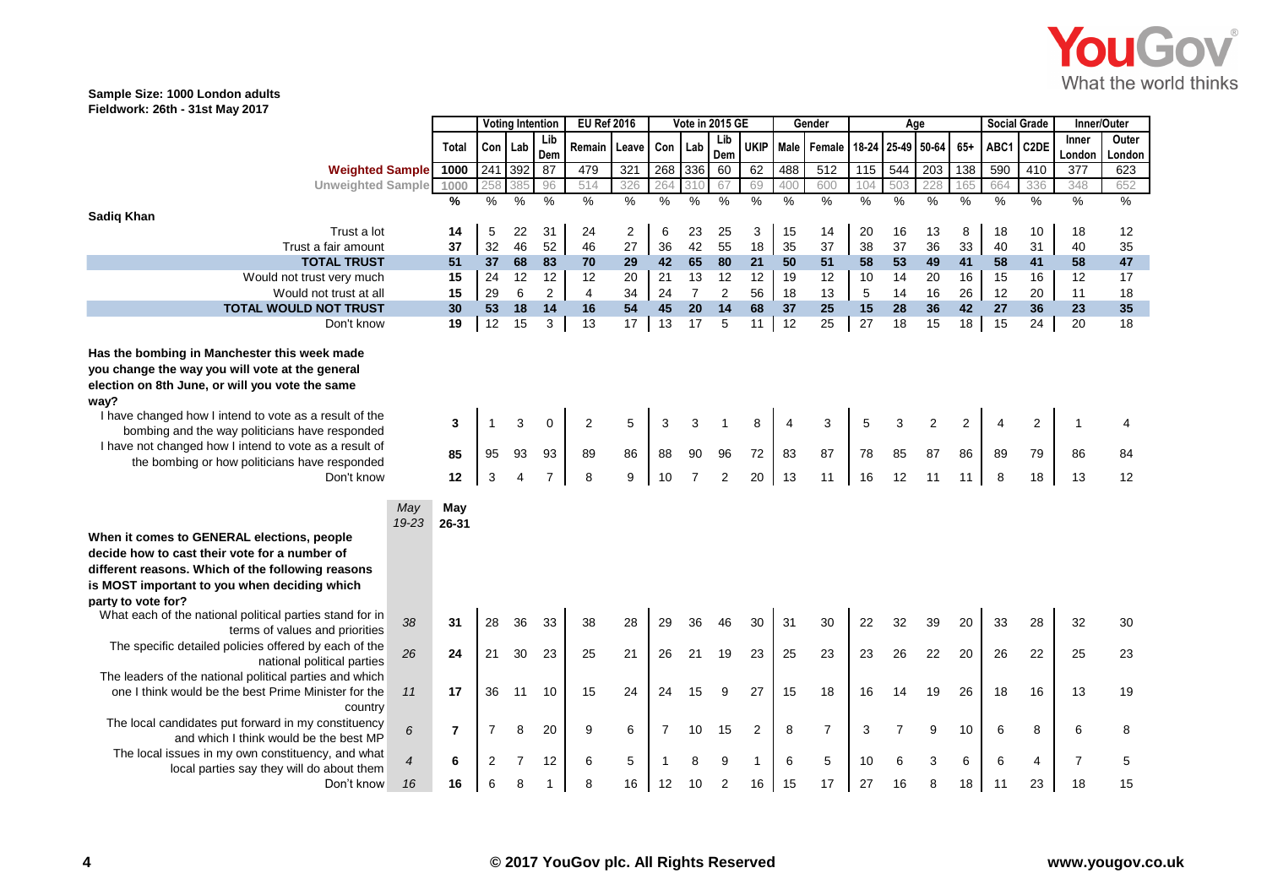

|                                                                                                                                                                                                                                                                                                                                                                                                 |                  | <b>Voting Intention</b> |               |              | <b>EU Ref 2016</b>        |               | Vote in 2015 GE         |               |                           |                      |               | Gender        | Age            |               |                |                            | <b>Social Grade</b>        |               | Inner/Outer                |                |          |
|-------------------------------------------------------------------------------------------------------------------------------------------------------------------------------------------------------------------------------------------------------------------------------------------------------------------------------------------------------------------------------------------------|------------------|-------------------------|---------------|--------------|---------------------------|---------------|-------------------------|---------------|---------------------------|----------------------|---------------|---------------|----------------|---------------|----------------|----------------------------|----------------------------|---------------|----------------------------|----------------|----------|
|                                                                                                                                                                                                                                                                                                                                                                                                 |                  | Total                   | Con   Lab     |              | Lib                       | Remain        | Leave                   | Con           | Lab                       | Lib                  | <b>UKIP</b>   |               | Male Female    | 18-24 25-49   |                | 50-64                      | $65+$                      | ABC1          | C <sub>2</sub> DE          | Inner          | Outer    |
|                                                                                                                                                                                                                                                                                                                                                                                                 |                  |                         |               |              | Dem                       |               |                         |               |                           | Dem                  |               |               |                |               |                |                            |                            |               |                            | London         | London   |
| <b>Weighted Sample</b>                                                                                                                                                                                                                                                                                                                                                                          |                  | 1000                    | 241           | 392          | 87                        | 479           | 321                     | 268           | 336                       | 60                   | 62            | 488           | 512            | 115           | 544            | 203                        | 138                        | 590           | 410                        | 377            | 623      |
| <b>Unweighted Sample</b>                                                                                                                                                                                                                                                                                                                                                                        |                  | 1000                    | 258           | 385          | 96                        | 514           | 326                     | 264           | 310                       | 67                   | 69            | 400           | 600            | 104           | 503            | 228                        | 165                        | 664           | 336                        | 348            | 652      |
|                                                                                                                                                                                                                                                                                                                                                                                                 |                  | $\frac{0}{0}$           | $\frac{9}{6}$ | $\%$         | $\frac{0}{0}$             | $\frac{1}{2}$ | %                       | $\%$          | $\%$                      | $\frac{0}{0}$        | %             | $\frac{0}{0}$ | $\%$           | %             | %              | $\%$                       | %                          | $\frac{9}{6}$ | %                          | %              | %        |
| <b>Sadiq Khan</b>                                                                                                                                                                                                                                                                                                                                                                               |                  |                         |               |              |                           |               |                         |               |                           |                      |               |               |                |               |                |                            |                            |               |                            |                |          |
| Trust a lot                                                                                                                                                                                                                                                                                                                                                                                     |                  | 14                      | 5             | 22           | 31                        | 24            | $\overline{\mathbf{c}}$ | 6             | 23                        | 25                   | 3             | 15            | 14             | 20            | 16             | 13                         | 8                          | 18            | 10                         | 18             | 12       |
| Trust a fair amount                                                                                                                                                                                                                                                                                                                                                                             |                  | 37                      | 32            | 46           | 52                        | 46            | 27                      | 36            | 42                        | 55                   | 18            | 35            | 37             | 38            | 37             | 36                         | 33                         | 40            | 31                         | 40             | 35       |
| <b>TOTAL TRUST</b>                                                                                                                                                                                                                                                                                                                                                                              |                  | 51                      | 37            | 68           | 83                        | 70            | 29                      | 42            | 65                        | 80                   | 21            | 50            | 51             | 58            | 53             | 49                         | 41                         | 58            | 41                         | 58             | 47       |
| Would not trust very much                                                                                                                                                                                                                                                                                                                                                                       |                  | 15                      | 24            | 12           | 12                        | 12            | 20                      | 21            | 13                        | 12                   | 12            | 19            | 12             | 10            | 14             | 20                         | 16                         | 15            | 16                         | 12             | 17       |
| Would not trust at all                                                                                                                                                                                                                                                                                                                                                                          |                  | 15                      | 29            | 6            | $\overline{c}$            | 4             | 34                      | 24            | $\overline{7}$            | $\overline{2}$       | 56            | 18            | 13             | 5             | 14             | 16                         | 26                         | 12            | 20                         | 11             | 18       |
| <b>TOTAL WOULD NOT TRUST</b>                                                                                                                                                                                                                                                                                                                                                                    |                  | 30                      | 53            | 18           | $14$                      | 16            | 54                      | 45            | 20                        | 14                   | 68            | 37            | 25             | 15            | 28             | 36                         | 42                         | 27            | 36                         | 23             | 35       |
| Don't know                                                                                                                                                                                                                                                                                                                                                                                      |                  | 19                      | 12            | 15           | 3                         | 13            | 17                      | 13            | 17                        | 5                    | 11            | 12            | 25             | 27            | 18             | 15                         | 18                         | 15            | 24                         | 20             | 18       |
| Has the bombing in Manchester this week made<br>you change the way you will vote at the general<br>election on 8th June, or will you vote the same<br>way?<br>I have changed how I intend to vote as a result of the<br>bombing and the way politicians have responded<br>I have not changed how I intend to vote as a result of<br>the bombing or how politicians have responded<br>Don't know |                  | 3<br>85<br>12           | 95<br>3       | 3<br>93<br>4 | 0<br>93<br>$\overline{7}$ | 2<br>89<br>8  | 5<br>86<br>9            | 3<br>88<br>10 | 3<br>90<br>$\overline{7}$ | 96<br>$\overline{2}$ | 8<br>72<br>20 | 4<br>83<br>13 | 3<br>87<br>11  | 5<br>78<br>16 | 3<br>85<br>12  | $\overline{2}$<br>87<br>11 | $\overline{2}$<br>86<br>11 | 4<br>89<br>8  | $\overline{2}$<br>79<br>18 | 1<br>86<br>13  | 84<br>12 |
| When it comes to GENERAL elections, people<br>decide how to cast their vote for a number of<br>different reasons. Which of the following reasons<br>is MOST important to you when deciding which<br>party to vote for?                                                                                                                                                                          | May<br>$19 - 23$ | May<br>$26 - 31$        |               |              |                           |               |                         |               |                           |                      |               |               |                |               |                |                            |                            |               |                            |                |          |
| What each of the national political parties stand for in                                                                                                                                                                                                                                                                                                                                        | 38               | 31                      | 28            | 36           | 33                        | 38            | 28                      | 29            | 36                        | 46                   | 30            | 31            | 30             | 22            | 32             | 39                         | 20                         | 33            | 28                         | 32             | 30       |
| terms of values and priorities                                                                                                                                                                                                                                                                                                                                                                  |                  |                         |               |              |                           |               |                         |               |                           |                      |               |               |                |               |                |                            |                            |               |                            |                |          |
| The specific detailed policies offered by each of the<br>national political parties                                                                                                                                                                                                                                                                                                             | 26               | 24                      | 21            | 30           | 23                        | 25            | 21                      | 26            | 21                        | 19                   | 23            | 25            | 23             | 23            | 26             | 22                         | 20                         | 26            | 22                         | 25             | 23       |
| The leaders of the national political parties and which<br>one I think would be the best Prime Minister for the<br>country                                                                                                                                                                                                                                                                      | 11               | 17                      | 36            | 11           | 10                        | 15            | 24                      | 24            | 15                        | 9                    | 27            | 15            | 18             | 16            | 14             | 19                         | 26                         | 18            | 16                         | 13             | 19       |
| The local candidates put forward in my constituency<br>and which I think would be the best MP                                                                                                                                                                                                                                                                                                   | 6                | $\overline{7}$          | 7             | 8            | 20                        | 9             | 6                       | 7             | 10                        | 15                   | 2             | 8             | $\overline{7}$ | 3             | $\overline{7}$ | 9                          | 10                         | 6             | 8                          | 6              | 8        |
| The local issues in my own constituency, and what                                                                                                                                                                                                                                                                                                                                               | $\overline{4}$   | 6                       | 2             | 7            | 12                        | 6             | 5                       |               | 8                         | 9                    | 1             | 6             | 5              | 10            | 6              | 3                          | 6                          | 6             | 4                          | $\overline{7}$ | 5        |
| local parties say they will do about them<br>Don't know                                                                                                                                                                                                                                                                                                                                         | 16               | 16                      | 6             |              |                           | 8             | 16                      | 12            | 10                        | $\overline{2}$       | 16            | 15            | 17             | 27            | 16             | 8                          | 18                         | 11            | 23                         | 18             | 15       |
|                                                                                                                                                                                                                                                                                                                                                                                                 |                  |                         |               |              |                           |               |                         |               |                           |                      |               |               |                |               |                |                            |                            |               |                            |                |          |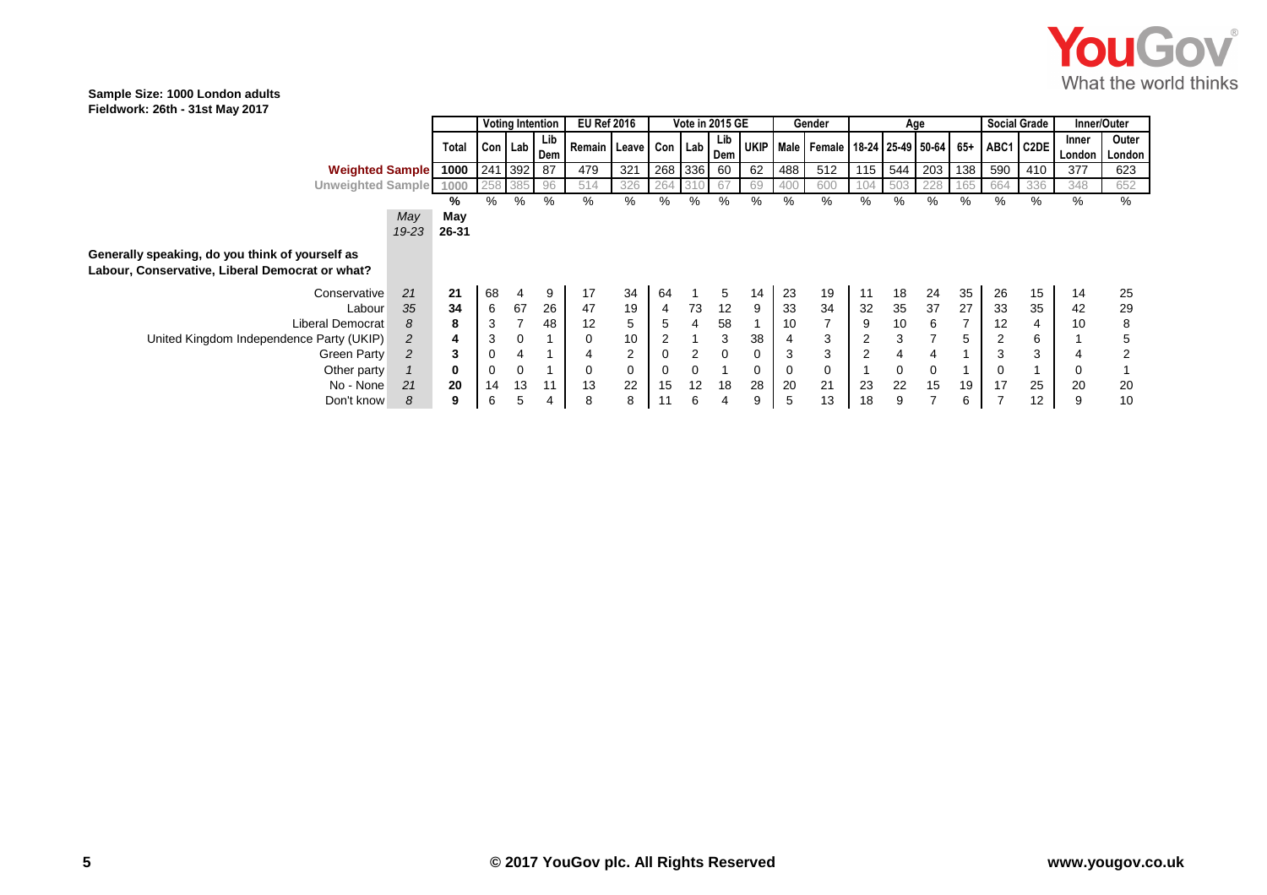

|                                                                                                    |       | <b>Voting Intention</b>                       |            |     | <b>EU Ref 2016</b>       | Vote in 2015 GE |         |    |                   |    | Gender | Age                                                |     |     |         | <b>Social Grade</b> |           | Inner/Outer |                 |                 |
|----------------------------------------------------------------------------------------------------|-------|-----------------------------------------------|------------|-----|--------------------------|-----------------|---------|----|-------------------|----|--------|----------------------------------------------------|-----|-----|---------|---------------------|-----------|-------------|-----------------|-----------------|
|                                                                                                    | Total | $\vert$ Con $\vert$ Lab $\vert$ Dem $\vert$ r |            | Lib | Remain Leave Con Lab Dem |                 |         |    | Lib               |    |        | UKIP   Male   Female   18-24   25-49   50-64   65+ |     |     |         |                     | ABC1 C2DE |             | Inner<br>London | Outer<br>London |
| <b>Weighted Sample</b>                                                                             | 1000  |                                               | 241 392 87 |     | 479                      | 321             | 268 336 |    | - 60              | 62 | 488    | 512                                                | 115 | 544 | 203 138 |                     | 590       | 410         | 377             | 623             |
| <b>Unweighted Sample</b>                                                                           | 1000  |                                               |            | 96  | 514                      | 326             | 264     |    |                   | 69 |        |                                                    |     |     | 228     | 165                 | 664       | 336         | 348             | 652             |
|                                                                                                    | ℅     | %                                             | %          | %   | %                        | %               | ℅       | ℅  | %                 | %  | %      | %                                                  | %   | %   | %       | ℅                   | %         | %           | ℅               | %               |
| May                                                                                                | May   |                                               |            |     |                          |                 |         |    |                   |    |        |                                                    |     |     |         |                     |           |             |                 |                 |
| 19-23                                                                                              | 26-31 |                                               |            |     |                          |                 |         |    |                   |    |        |                                                    |     |     |         |                     |           |             |                 |                 |
| Generally speaking, do you think of yourself as<br>Labour, Conservative, Liberal Democrat or what? |       |                                               |            |     |                          |                 |         |    |                   |    |        |                                                    |     |     |         |                     |           |             |                 |                 |
| 21<br>Conservative                                                                                 | 21    | 68                                            | 4          | 9   | 17                       | 34              | 64      |    | 5                 | 14 | 23     | 19                                                 | 11  | 18  | 24      | 35                  | 26        | 15          | 14              | 25              |
| 35<br>Labour                                                                                       | 34    | 6                                             | 67         | 26  | 47                       | 19              | 4       | 73 | $12 \overline{ }$ | 9  | 33     | 34                                                 | 32  | 35  | 37      | 27                  | 33        | 35          | 42              | 29              |
| Liberal Democrat<br>8                                                                              | 8     | 3                                             |            | 48  | 12                       | 5               | 5       | 4  | 58                |    | 10     |                                                    | 9   | 10  | 6       |                     | 12        | 4           | 10              | 8               |
| United Kingdom Independence Party (UKIP)<br>2                                                      | 4     | 3                                             | 0          |     | 0                        | 10              |         |    | 3                 | 38 |        | 3                                                  |     | 3   |         | 5                   | 2         | 6           |                 |                 |
| 2<br>Green Party                                                                                   | 3     | 0                                             |            |     |                          | $\overline{2}$  |         | 2  |                   |    | 3      | 3                                                  |     |     |         |                     | 3         | 3           |                 |                 |
| Other party                                                                                        | 0     | 0                                             | 0          |     | 0                        | 0               |         | 0  |                   |    | 0      | 0                                                  |     | 0   | 0       |                     |           |             |                 |                 |
| 21<br>No - None                                                                                    | 20    | 14                                            | 13         | 11  | 13                       | 22              | 15      | 12 | 18                | 28 | 20     | 21                                                 | 23  | 22  | 15      | 19                  | 17        | 25          | 20              | 20              |
| 8<br>Don't know                                                                                    | 9     | 6                                             |            | 4   | 8                        | 8               | 11      | 6  |                   |    | 5      | 13                                                 | 18  | 9   |         | 6                   |           | 12          | 9               | 10              |